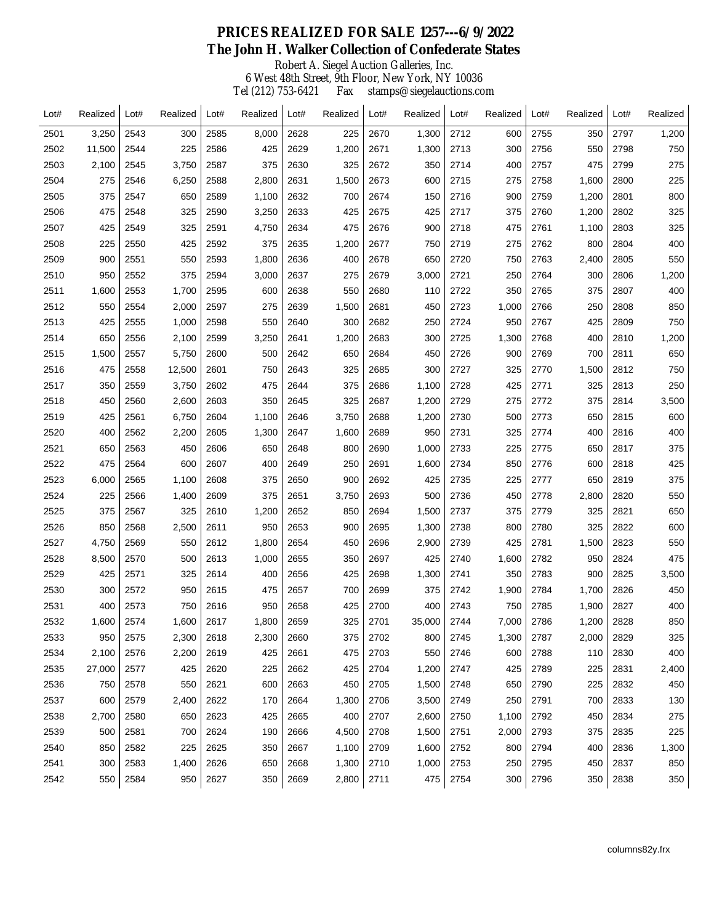## Robert A. Siegel Auction Galleries, Inc. 6 West 48th Street, 9th Floor, New York, NY 10036 Tel (212) 753-6421 Fax stamps@siegelauctions.com  **PRICES REALIZED FOR SALE 1257---6/9/2022 The John H. Walker Collection of Confederate States**

| Lot# | Realized | Lot# | Realized | Lot# | Realized | Lot# | Realized | Lot# | Realized | Lot# | Realized | Lot# | Realized | Lot# | Realized |
|------|----------|------|----------|------|----------|------|----------|------|----------|------|----------|------|----------|------|----------|
| 2501 | 3,250    | 2543 | 300      | 2585 | 8,000    | 2628 | 225      | 2670 | 1,300    | 2712 | 600      | 2755 | 350      | 2797 | 1,200    |
| 2502 | 11,500   | 2544 | 225      | 2586 | 425      | 2629 | 1,200    | 2671 | 1,300    | 2713 | 300      | 2756 | 550      | 2798 | 750      |
| 2503 | 2,100    | 2545 | 3,750    | 2587 | 375      | 2630 | 325      | 2672 | 350      | 2714 | 400      | 2757 | 475      | 2799 | 275      |
| 2504 | 275      | 2546 | 6,250    | 2588 | 2,800    | 2631 | 1,500    | 2673 | 600      | 2715 | 275      | 2758 | 1,600    | 2800 | 225      |
| 2505 | 375      | 2547 | 650      | 2589 | 1,100    | 2632 | 700      | 2674 | 150      | 2716 | 900      | 2759 | 1,200    | 2801 | 800      |
| 2506 | 475      | 2548 | 325      | 2590 | 3,250    | 2633 | 425      | 2675 | 425      | 2717 | 375      | 2760 | 1,200    | 2802 | 325      |
| 2507 | 425      | 2549 | 325      | 2591 | 4,750    | 2634 | 475      | 2676 | 900      | 2718 | 475      | 2761 | 1,100    | 2803 | 325      |
| 2508 | 225      | 2550 | 425      | 2592 | 375      | 2635 | 1,200    | 2677 | 750      | 2719 | 275      | 2762 | 800      | 2804 | 400      |
| 2509 | 900      | 2551 | 550      | 2593 | 1,800    | 2636 | 400      | 2678 | 650      | 2720 | 750      | 2763 | 2,400    | 2805 | 550      |
| 2510 | 950      | 2552 | 375      | 2594 | 3,000    | 2637 | 275      | 2679 | 3,000    | 2721 | 250      | 2764 | 300      | 2806 | 1,200    |
| 2511 | 1,600    | 2553 | 1,700    | 2595 | 600      | 2638 | 550      | 2680 | 110      | 2722 | 350      | 2765 | 375      | 2807 | 400      |
| 2512 | 550      | 2554 | 2,000    | 2597 | 275      | 2639 | 1,500    | 2681 | 450      | 2723 | 1,000    | 2766 | 250      | 2808 | 850      |
| 2513 | 425      | 2555 | 1,000    | 2598 | 550      | 2640 | 300      | 2682 | 250      | 2724 | 950      | 2767 | 425      | 2809 | 750      |
| 2514 | 650      | 2556 | 2,100    | 2599 | 3,250    | 2641 | 1,200    | 2683 | 300      | 2725 | 1,300    | 2768 | 400      | 2810 | 1,200    |
| 2515 | 1,500    | 2557 | 5,750    | 2600 | 500      | 2642 | 650      | 2684 | 450      | 2726 | 900      | 2769 | 700      | 2811 | 650      |
| 2516 | 475      | 2558 | 12,500   | 2601 | 750      | 2643 | 325      | 2685 | 300      | 2727 | 325      | 2770 | 1,500    | 2812 | 750      |
| 2517 | 350      | 2559 | 3,750    | 2602 | 475      | 2644 | 375      | 2686 | 1,100    | 2728 | 425      | 2771 | 325      | 2813 | 250      |
| 2518 | 450      | 2560 | 2,600    | 2603 | 350      | 2645 | 325      | 2687 | 1,200    | 2729 | 275      | 2772 | 375      | 2814 | 3,500    |
| 2519 | 425      | 2561 | 6,750    | 2604 | 1,100    | 2646 | 3,750    | 2688 | 1,200    | 2730 | 500      | 2773 | 650      | 2815 | 600      |
| 2520 | 400      | 2562 | 2,200    | 2605 | 1,300    | 2647 | 1,600    | 2689 | 950      | 2731 | 325      | 2774 | 400      | 2816 | 400      |
| 2521 | 650      | 2563 | 450      | 2606 | 650      | 2648 | 800      | 2690 | 1,000    | 2733 | 225      | 2775 | 650      | 2817 | 375      |
| 2522 | 475      | 2564 | 600      | 2607 | 400      | 2649 | 250      | 2691 | 1,600    | 2734 | 850      | 2776 | 600      | 2818 | 425      |
| 2523 | 6,000    | 2565 | 1,100    | 2608 | 375      | 2650 | 900      | 2692 | 425      | 2735 | 225      | 2777 | 650      | 2819 | 375      |
| 2524 | 225      | 2566 | 1,400    | 2609 | 375      | 2651 | 3,750    | 2693 | 500      | 2736 | 450      | 2778 | 2,800    | 2820 | 550      |
| 2525 | 375      | 2567 | 325      | 2610 | 1,200    | 2652 | 850      | 2694 | 1,500    | 2737 | 375      | 2779 | 325      | 2821 | 650      |
| 2526 | 850      | 2568 | 2,500    | 2611 | 950      | 2653 | 900      | 2695 | 1,300    | 2738 | 800      | 2780 | 325      | 2822 | 600      |
| 2527 | 4,750    | 2569 | 550      | 2612 | 1,800    | 2654 | 450      | 2696 | 2,900    | 2739 | 425      | 2781 | 1,500    | 2823 | 550      |
| 2528 | 8,500    | 2570 | 500      | 2613 | 1,000    | 2655 | 350      | 2697 | 425      | 2740 | 1,600    | 2782 | 950      | 2824 | 475      |
| 2529 | 425      | 2571 | 325      | 2614 | 400      | 2656 | 425      | 2698 | 1,300    | 2741 | 350      | 2783 | 900      | 2825 | 3,500    |
| 2530 | 300      | 2572 | 950      | 2615 | 475      | 2657 | 700      | 2699 | 375      | 2742 | 1,900    | 2784 | 1,700    | 2826 | 450      |
| 2531 | 400      | 2573 | 750      | 2616 | 950      | 2658 | 425      | 2700 | 400      | 2743 | 750      | 2785 | 1,900    | 2827 | 400      |
| 2532 | 1,600    | 2574 | 1,600    | 2617 | 1,800    | 2659 | 325      | 2701 | 35,000   | 2744 | 7,000    | 2786 | 1,200    | 2828 | 850      |
| 2533 | 950      | 2575 | 2,300    | 2618 | 2,300    | 2660 | 375      | 2702 | 800      | 2745 | 1,300    | 2787 | 2,000    | 2829 | 325      |
| 2534 | 2,100    | 2576 | 2,200    | 2619 | 425      | 2661 | 475      | 2703 | 550      | 2746 | 600      | 2788 | 110      | 2830 | 400      |
| 2535 | 27,000   | 2577 | 425      | 2620 | 225      | 2662 | 425      | 2704 | 1,200    | 2747 | 425      | 2789 | 225      | 2831 | 2,400    |
| 2536 | 750      | 2578 | 550      | 2621 | 600      | 2663 | 450      | 2705 | 1,500    | 2748 | 650      | 2790 | 225      | 2832 | 450      |
| 2537 | 600      | 2579 | 2,400    | 2622 | 170      | 2664 | 1,300    | 2706 | 3,500    | 2749 | 250      | 2791 | 700      | 2833 | 130      |
| 2538 | 2,700    | 2580 | 650      | 2623 | 425      | 2665 | 400      | 2707 | 2,600    | 2750 | 1,100    | 2792 | 450      | 2834 | 275      |
| 2539 | 500      | 2581 | 700      | 2624 | 190      | 2666 | 4,500    | 2708 | 1,500    | 2751 | 2,000    | 2793 | 375      | 2835 | 225      |
| 2540 | 850      | 2582 | 225      | 2625 | 350      | 2667 | 1,100    | 2709 | 1,600    | 2752 | 800      | 2794 | 400      | 2836 | 1,300    |
| 2541 | 300      | 2583 | 1,400    | 2626 | 650      | 2668 | 1,300    | 2710 | 1,000    | 2753 | 250      | 2795 | 450      | 2837 | 850      |
| 2542 | 550      | 2584 | 950      | 2627 | 350      | 2669 | 2,800    | 2711 | 475      | 2754 | 300      | 2796 | 350      | 2838 | 350      |